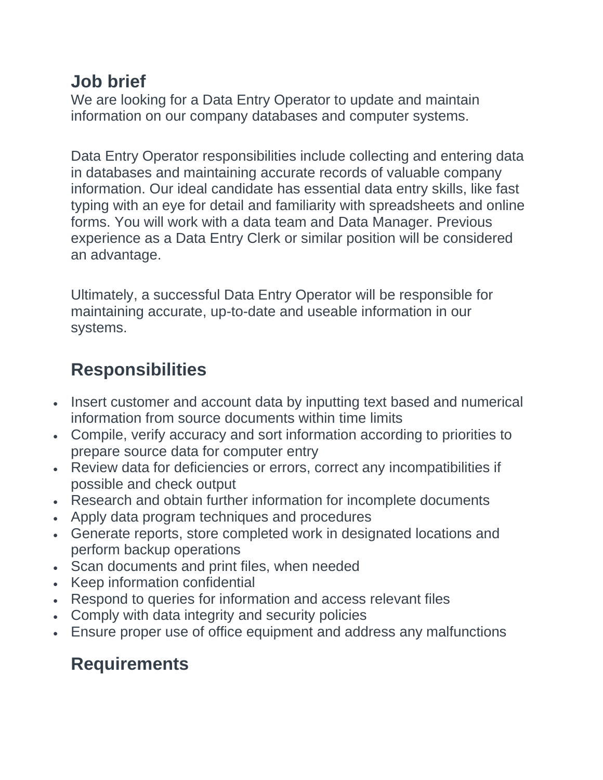## **Job brief**

We are looking for a Data Entry Operator to update and maintain information on our company databases and computer systems.

Data Entry Operator responsibilities include collecting and entering data in databases and maintaining accurate records of valuable company information. Our ideal candidate has essential data entry skills, like fast typing with an eye for detail and familiarity with spreadsheets and online forms. You will work with a data team and Data Manager. Previous experience as a Data Entry Clerk or similar position will be considered an advantage.

Ultimately, a successful Data Entry Operator will be responsible for maintaining accurate, up-to-date and useable information in our systems.

## **Responsibilities**

- Insert customer and account data by inputting text based and numerical information from source documents within time limits
- Compile, verify accuracy and sort information according to priorities to prepare source data for computer entry
- Review data for deficiencies or errors, correct any incompatibilities if possible and check output
- Research and obtain further information for incomplete documents
- Apply data program techniques and procedures
- Generate reports, store completed work in designated locations and perform backup operations
- Scan documents and print files, when needed
- Keep information confidential
- Respond to queries for information and access relevant files
- Comply with data integrity and security policies
- Ensure proper use of office equipment and address any malfunctions

## **Requirements**